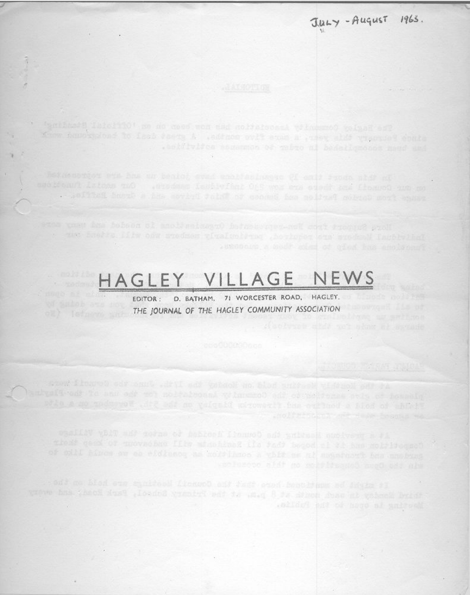

With Senday in said doubt at 8 p.m. at the Primary Scheel, Park Root and when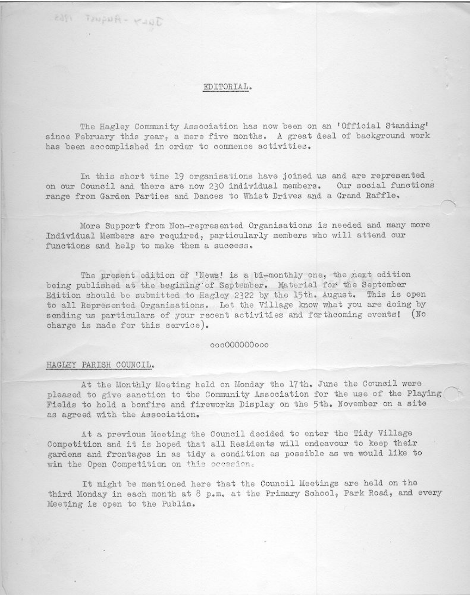## EDITORIAL.

The Hagley Community Association has now been on an 'Official Standing' since February this year, a mere five months. A great deal of background work has been accomplished in order to commence activities.

In this short time 19 organisations have joined us and are represented on our Council and there are now 230 individual members. Our social functions range from Garden Parties and Dances to Whist Drives and a Grand Raffle.

More Support from Non-represented Organisations is needed and many more Individual Members are required, particularly members who will attend our functions and help to make them a success.

The present edition of 'News! is a bi-monthly one, the next edition being published at the begining of September. Material for the September Edition should be submitted to Hagley 2322 by the 15th. August. This is open to all Represented Organisations. Let the Village know what you are doing by sending us particulars of your recent activities and forthcoming events! (No charge is made for this service).

## 00000000000

#### HAGLEY PARISH COUNCIL.

At the Monthly Meeting held on Monday the 17th. June the Council were pleased to give sanction to the Community Association for the use of the Playing Fields to hold a bonfire and fireworks Display on the 5th. November on a site as agreed with the Association.

At a previous Meeting the Council decided to enter the Tidy Village Competition and it is hoped that all Residents will endeavour to keep their gardens and frontages in as tidy a condition as possible as we would like to win the Open Competition on this occasion.

It might be mentioned here that the Council Meetings are held on the third Monday in each month at 8 p.m. at the Primary School, Park Road, and every Meeting is open to the Publin.

JULY - August 1963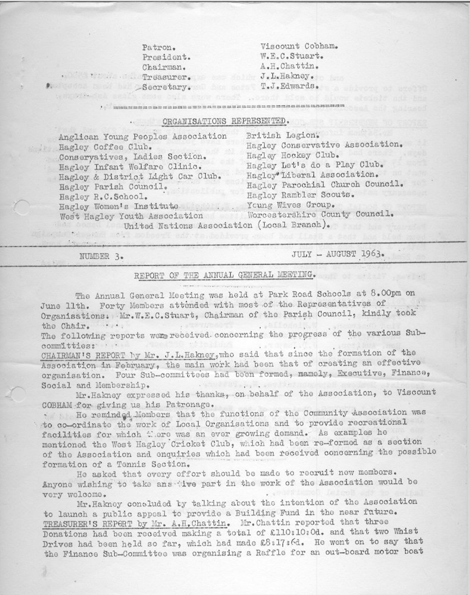Patron. President. Chairman. A costa bal Secretary. ol bo some tely with the seafe and onle :

Viscount Cobham. W.E.C.Stuart. A.H.Chattin. . The independent of the factor of the fake of the factor of the factor of the factor of the factor of the factor of the factor of the factor of the factor of the factor of the factor of the factor of the factor of the fac T.J.Edwards.

# ORGANISATIONS REPRESENTED.

Anglican Young Peoples Association Hagley Coffee Club. Conservatives, Ladies Section. Hagley Infant Welfare Clinic. Hagley & District Light Car Club. Hagley Parish Council. Hagley R.C.School. Hagley Women's Institute West Hagley Youth Association British Legion. Hagley Conservative Association. Hagley Hockey Club. Hagley Let's do a Play Club. Hagley Liberal Association. Hagley Parochial Church Council. Hagley Rambler Scouts. Young Wives Group. Worcestershire County Council.

United Nations Association (Local Branch). Assetted the water and the motopers and con-

NUMBER 3.

JULY - AUGUST 1963.

## REPORT OF THE ANNUAL GENERAL MEETING.

man - november presented to

The Annual General Meeting was held at Park Road Schools at 8.00pm on June 11th. Forty Members attended with most of the Representatives of Organisations. Mr.W.E.C.Stuart, Chairman of the Parish Council, kindly took the Chair. .... the company of the company of the company of the company of the company of the company of the company of the company of the company of the company of the company of the company of the company of the company of the company **Section** 

The following reports were received concerning the progress of the various Subcommitties:

CHAIRMAN'S REPORT by Mr. J.L.Hakney, who said that since the formation of the Association in February, the main work had been that of creating an effective organisation. Four Sub-committees had been formed, namely, Executive, Finance, and the company of the company of the company of the company of the company of Social and Membership.

Mr. Hakney expressed his thanks, on behalf of the Association, to Viscount COBHAM for giving us his Patronage.

. He reminded Members that the functions of the Community Association was to co-ordinate the work of Local Organisations and to provide recreational facilities for which there was an ever growing demand. As examples he mentioned the West Hagley Cricket Club, which had been re-formed as a section of the Association and enquiries which had been received concerning the possible formation of a Tennis Section.

He asked that every effort should be made to recruit new members. Anyone wishing to take answire part in the work of the Association would be very welcome.

Mr. Hakney concluded by talking about the intention of the Association to launch a public appeal to provide a Building Fund in the near future. TREASURER'S REPORT by Mr. A.H.Chattin. Mr. Chattin reported that three Donations had been received making a total of £110:10:0d. and that two Whist Drives had been held so far, which had made £8:17:6d. He went on to say that the Finance Sub-Committee was organising a Raffle for an out-board motor boat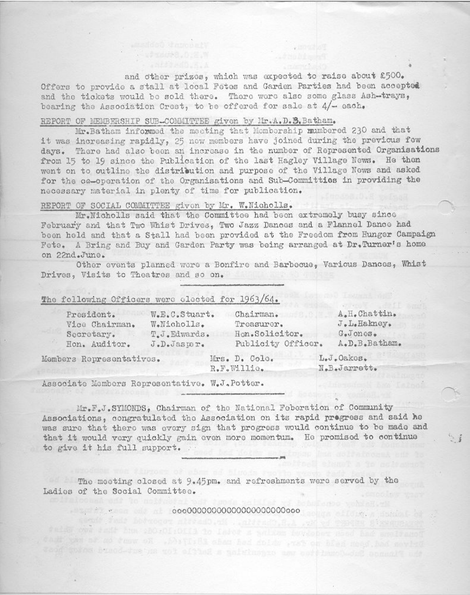and other prizes, which was expected to raise about £500. Offers to provide a stall at local Fetes and Garden Parties had been accepted and the tickets would be sold there. There were also some glass Ash-trays, bearing the Association Crest, to be offered for sale at 4/- each.

#### REPORT OF MEMBERSHIP SUB-COMMITTEE given by Mr.A.D.B.Batham.

Mr. Batham informed the meeting that Membership mumbered 230 and that it was increasing rapidly, 25 new members have joined during the previous few days. There had also been an increase in the number of Represented Organisations from 15 to 19 since the Publication of the last Hagley Village News. He then went on to outline the distribution and purpose of the Village News and asked for the co-operation of the Organisations and Sub-Committies in providing the necessary material in plenty of time for publication.

## REPORT OF SOCIAL COMMITTEE given by Mr. W.Nicholls.

Mr. Nicholls said that the Committee had been extremely busy since February and that Two Whist Drives, Two Jazz Dances and a Flannel Dance had been held and that a Stall had been provided at the Freedom from Hunger Campaign Fete. A Bring and Buy and Garden Party was being arranged at Dr. Turner's home on 22nd.June.

Other events planned were a Bonfire and Barbecue, Various Dances, Whist Drives, Visits to Theatres and so on.

#### The following Officers were elected for 1963/64.

| President.                                                                                                                                                                                                                     | W.E.C.Stuart.             | Chairman.                    | A.H. Chattin. |  |
|--------------------------------------------------------------------------------------------------------------------------------------------------------------------------------------------------------------------------------|---------------------------|------------------------------|---------------|--|
| Vice Chairman.                                                                                                                                                                                                                 | W.Nicholls.<br>Treasurer. |                              | J.L.Hakney.   |  |
| T.J.Edwards.<br>Secretary.                                                                                                                                                                                                     |                           | Hon.Solicitor.               | G.Jones.      |  |
| Hon. Auditor.                                                                                                                                                                                                                  | J.D.Jasper.               | Publicity Officer.           | A.D.B.Batham. |  |
| and the company of the second state of the company of the second state of the second state of the second state of the second state of the second state of the second state of the second state of the second state of the seco |                           | $T_{\text{max}} = T - T - T$ | T. J. Onlynn  |  |

Members Representatives.

 $-2$   $\pi$   $\pi$   $\pi$ 

Mrs. D. Cole. R.F.Willio.

LeveU&KGS. N.B.Jarrett.

Associate Members Representative. W.J.Potter.

Mr.F.J.SYMONDS, Chairman of the National Feberation of Community Associations, congratulated the Association on its rapid progress and said he was sure that there was every sign that progress would continue to be made and that it would very quickly gain even more momentum. He promised to continue to give it his full support.

The meeting closed at 9.45pm. and refreshments were served by the Ladies of the Social Committee.

telly one fait has should cliff to later a sulten burdens who had anylinged Drive bat at mo fast hort which had followed had no short companies and most pack the Pinner Street heat the organization a haftle a tor fort-bout-bout spanner and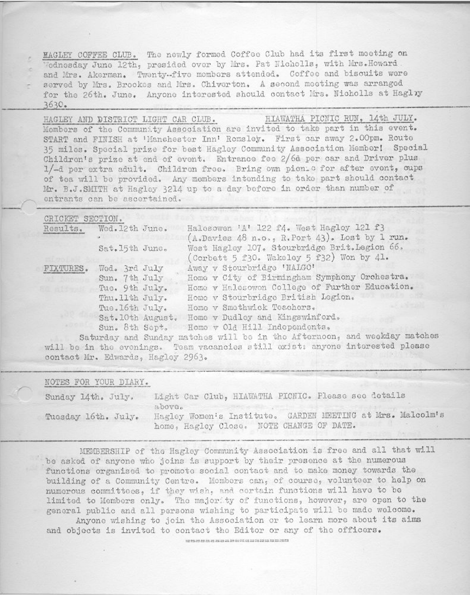MAGLEY COFFEE CLUB. The newly formed Coffee Club had its first meeting on Wednesday June 12th, presided over by Mrs. Pat Nicholls, with Mrs. Howard and Mrs. Akerman. Twenty-five mombers attended. Coffee and biscuits were served by Mrs. Brookes and Mrs. Chiverton. A second meeting was arranged for the 26th. June. Anyone interested should contact Mrs. Nicholls at Haglyy 3630.

HIAWATHA PICNIC RUN, 14th JULY. HAGLEY AND DISTRICT LIGHT CAR CLUB. Members of the Community Association are invited to take part in this event. START and FINISH at 'Manchester Inn' Romsley. First car away 2.00pm. Route 35 miles. Special prize for best Hagley Community Association Member! Special Childron's prize at end of event. Entrance fee 2/6d per car and Driver plus 1/-d per extra adult. Children free. Bring own pion c for after event, oups of toa will be provided. Any members intending to take part should contact Mr. B.J.SMITH at Hagley 3214 up to a day before in order than number of entrants can be ascertained.

# CRICKET SECTION.

| Results.  | Wed.12th June.                                                      | Halesowen 'A' 122 f4. West Hagley 121 f3<br>(A.Davies 48 n.o., R.Port 43). Lost by 1 run.                                                                           |
|-----------|---------------------------------------------------------------------|---------------------------------------------------------------------------------------------------------------------------------------------------------------------|
|           | Sat. 15th June.                                                     | West Hagley 107. Stourbridge Brit. Legion 66.<br>(Corbett 5 f30. Wakeley 5 f32) Won by 41.                                                                          |
| FIXTURES. | Wed. 3rd July<br>Sun. 7th July<br>Tue. 9th July.<br>Thu. 11th July. | Away v Stourbridge 'NALGO'<br>Home v City of Birmingham Symphony Orchestra.<br>Home v Halesowen College of Further Education.<br>Home v Stourbridge British Legion. |
|           | Tue. 16th July.<br>Sat. 10th August.<br>Sun. 8th Sept.              | Home v Smethwick Teachers.<br>Home v Dudley and Kingswinford.<br>Home v Old Hill Independents.<br>$V = W$ and $V = W$ and $V = W$ and $W = W$                       |

Saturday and Sunday matches will be in the Afternoon, and weekday matches will be in the evenings. Team vacancies still exist: anyone interested please contact Mr. Edwards, Hagley 2963.

#### NOTES FOR YOUR DIARY.

| Sunday 14th. July.  |        | Light Car Club, HIAWATHA PICNIC. Please see details |  |                                                            |
|---------------------|--------|-----------------------------------------------------|--|------------------------------------------------------------|
| Tuesday 16th. July. | above. | home, Hagley Close. NOTE CHANGE OF DATE.            |  | Hagley Women's Institute. GARDEN MEETING at Mrs. Malcolm's |

MEMBERSHIP of the Hagley Community Association is free and all that will be asked of anyone who joins is support by their presence at the numerous functions organised to promote social contact and to make money towards the building of a Community Centre. Mombers can, of course, volunteer to help on numerous committees, if they wish, and certain functions will have to be limited to Members only. The majority of functions, however, are open to the general public and all persons wishing to participate will be made welcome. Anyone wishing to join the Association or to learn more about its aims

and objects is invited to contact the Editor or any of the officers.

was trained as an was lost ups on the market car are the ast too the state of the